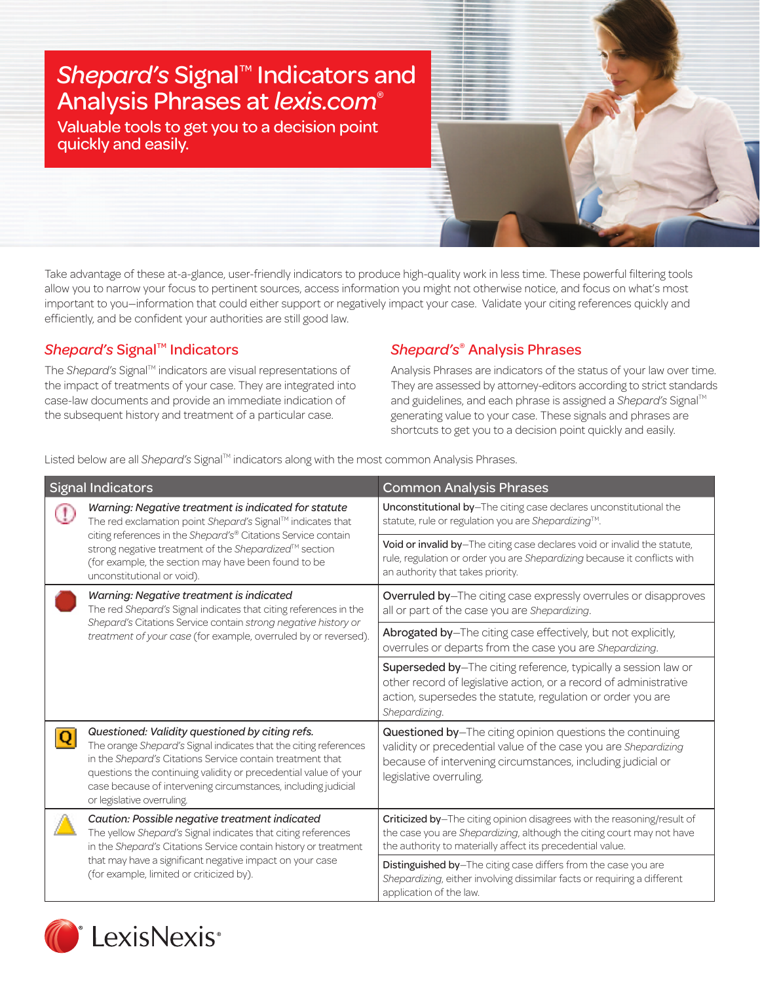# **Shepard's Signal<sup>™</sup> Indicators and** Analysis Phrases at *lexis.com*®

Valuable tools to get you to a decision point quickly and easily.

Take advantage of these at-a-glance, user-friendly indicators to produce high-quality work in less time. These powerful filtering tools allow you to narrow your focus to pertinent sources, access information you might not otherwise notice, and focus on what's most important to you—information that could either support or negatively impact your case. Validate your citing references quickly and efficiently, and be confident your authorities are still good law.

## *Shepard's Signal™ Indicators*

The *Shepard's* Signal<sup>™</sup> indicators are visual representations of the impact of treatments of your case. They are integrated into case-law documents and provide an immediate indication of the subsequent history and treatment of a particular case.

### *Shepard's*® Analysis Phrases

Analysis Phrases are indicators of the status of your law over time. They are assessed by attorney-editors according to strict standards and guidelines, and each phrase is assigned a *Shepard's* Signal<sup>™</sup> generating value to your case. These signals and phrases are shortcuts to get you to a decision point quickly and easily.

Listed below are all *Shepard's* Signal<sup>™</sup> indicators along with the most common Analysis Phrases.

| <b>Signal Indicators</b> |                                                                                                                                                                                                                                                                                                                                                    | <b>Common Analysis Phrases</b>                                                                                                                                                                                         |
|--------------------------|----------------------------------------------------------------------------------------------------------------------------------------------------------------------------------------------------------------------------------------------------------------------------------------------------------------------------------------------------|------------------------------------------------------------------------------------------------------------------------------------------------------------------------------------------------------------------------|
|                          | Warning: Negative treatment is indicated for statute<br>The red exclamation point Shepard's Signal™ indicates that<br>citing references in the Shepard's® Citations Service contain<br>strong negative treatment of the Shepardized™ section<br>(for example, the section may have been found to be<br>unconstitutional or void).                  | Unconstitutional by-The citing case declares unconstitutional the<br>statute, rule or regulation you are Shepardizing™.                                                                                                |
|                          |                                                                                                                                                                                                                                                                                                                                                    | Void or invalid by-The citing case declares void or invalid the statute,<br>rule, regulation or order you are Shepardizing because it conflicts with<br>an authority that takes priority.                              |
|                          | Warning: Negative treatment is indicated<br>The red Shepard's Signal indicates that citing references in the<br>Shepard's Citations Service contain strong negative history or<br>treatment of your case (for example, overruled by or reversed).                                                                                                  | Overruled by-The citing case expressly overrules or disapproves<br>all or part of the case you are Shepardizing.                                                                                                       |
|                          |                                                                                                                                                                                                                                                                                                                                                    | Abrogated by-The citing case effectively, but not explicitly,<br>overrules or departs from the case you are Shepardizing.                                                                                              |
|                          |                                                                                                                                                                                                                                                                                                                                                    | Superseded by-The citing reference, typically a session law or<br>other record of legislative action, or a record of administrative<br>action, supersedes the statute, regulation or order you are<br>Shepardizing.    |
|                          | Questioned: Validity questioned by citing refs.<br>The orange Shepard's Signal indicates that the citing references<br>in the Shepard's Citations Service contain treatment that<br>questions the continuing validity or precedential value of your<br>case because of intervening circumstances, including judicial<br>or legislative overruling. | Questioned by-The citing opinion questions the continuing<br>validity or precedential value of the case you are Shepardizing<br>because of intervening circumstances, including judicial or<br>legislative overruling. |
|                          | Caution: Possible negative treatment indicated<br>The yellow Shepard's Signal indicates that citing references<br>in the Shepard's Citations Service contain history or treatment<br>that may have a significant negative impact on your case<br>(for example, limited or criticized by).                                                          | Criticized by-The citing opinion disagrees with the reasoning/result of<br>the case you are Shepardizing, although the citing court may not have<br>the authority to materially affect its precedential value.         |
|                          |                                                                                                                                                                                                                                                                                                                                                    | Distinguished by-The citing case differs from the case you are<br>Shepardizing, either involving dissimilar facts or requiring a different<br>application of the law.                                                  |